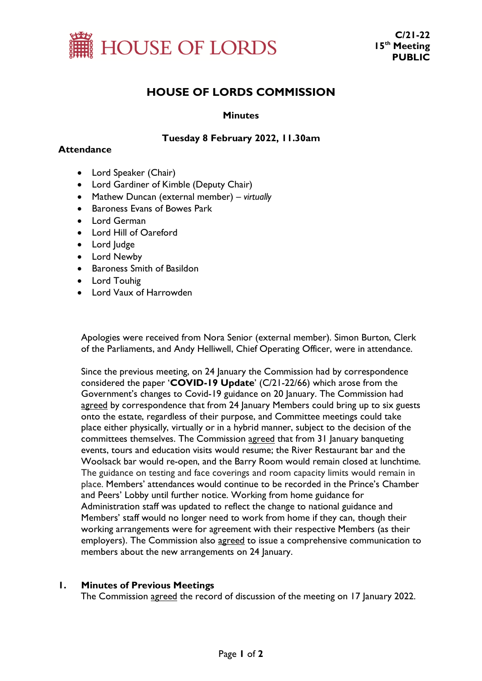

# **HOUSE OF LORDS COMMISSION**

### **Minutes**

### **Tuesday 8 February 2022, 11.30am**

#### **Attendance**

- Lord Speaker (Chair)
- Lord Gardiner of Kimble (Deputy Chair)
- Mathew Duncan (external member) *virtually*
- Baroness Evans of Bowes Park
- Lord German
- Lord Hill of Oareford
- Lord Judge
- Lord Newby
- Baroness Smith of Basildon
- Lord Touhig
- Lord Vaux of Harrowden

Apologies were received from Nora Senior (external member). Simon Burton, Clerk of the Parliaments, and Andy Helliwell, Chief Operating Officer, were in attendance.

Since the previous meeting, on 24 January the Commission had by correspondence considered the paper '**COVID-19 Update**' (C/21-22/66) which arose from the Government's changes to Covid-19 guidance on 20 January. The Commission had agreed by correspondence that from 24 January Members could bring up to six guests onto the estate, regardless of their purpose, and Committee meetings could take place either physically, virtually or in a hybrid manner, subject to the decision of the committees themselves. The Commission agreed that from 31 January banqueting events, tours and education visits would resume; the River Restaurant bar and the Woolsack bar would re-open, and the Barry Room would remain closed at lunchtime. The guidance on testing and face coverings and room capacity limits would remain in place. Members' attendances would continue to be recorded in the Prince's Chamber and Peers' Lobby until further notice. Working from home guidance for Administration staff was updated to reflect the change to national guidance and Members' staff would no longer need to work from home if they can, though their working arrangements were for agreement with their respective Members (as their employers). The Commission also agreed to issue a comprehensive communication to members about the new arrangements on 24 January.

## **1. Minutes of Previous Meetings**

The Commission agreed the record of discussion of the meeting on 17 January 2022.